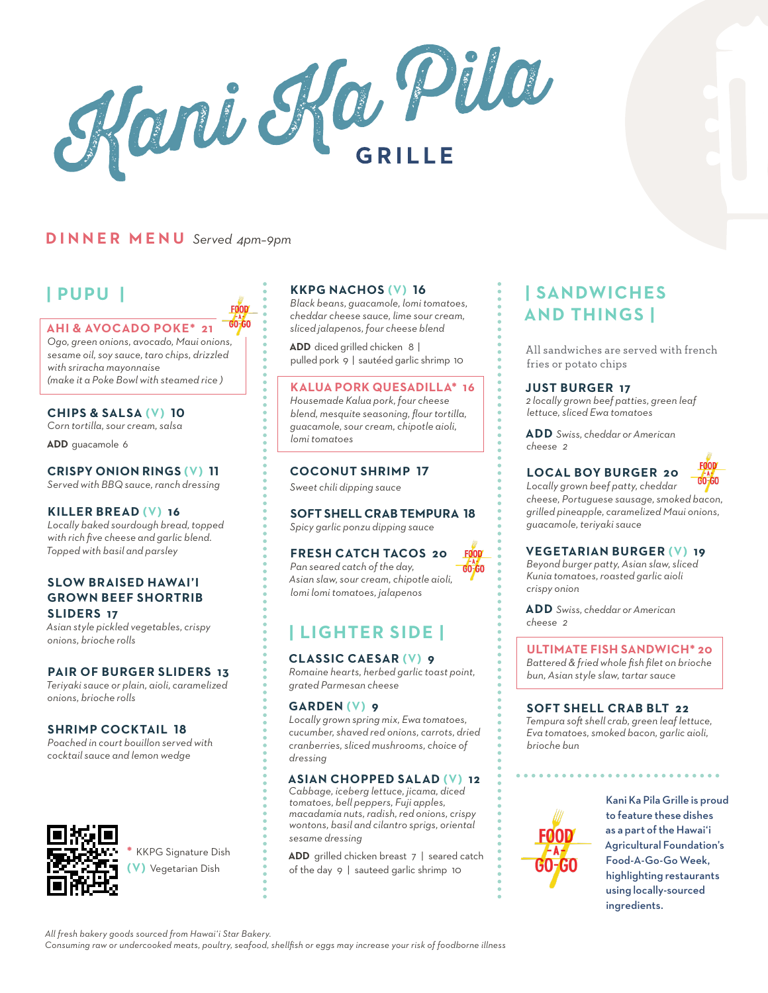Kani Ka Pila

## **DINNER MENU** *Served 4pm–9pm*

GO-GO **AHI & AVOCADO POKE\* 21** *Ogo, green onions, avocado, Maui onions, sesame oil, soy sauce, taro chips, drizzled with sriracha mayonnaise (make it a Poke Bowl with steamed rice )*

#### **CHIPS & SALSA (V) 10**

*Corn tortilla, sour cream, salsa* **ADD** guacamole 6

### **CRISPY ONION RINGS (V) 11**

*Served with BBQ sauce, ranch dressing*

#### **KILLER BREAD (V) 16**

*Locally baked sourdough bread, topped with rich five cheese and garlic blend. Topped with basil and parsley*

#### **SLOW BRAISED HAWAI'I GROWN BEEF SHORTRIB SLIDERS 17**

*Asian style pickled vegetables, crispy onions, brioche rolls*

#### **PAIR OF BURGER SLIDERS 13**

*Teriyaki sauce or plain, aioli, caramelized onions, brioche rolls*

#### **SHRIMP COCKTAIL 18**

*Poached in court bouillon served with cocktail sauce and lemon wedge*



# **| PUPU | KKPG NACHOS (V) 16**

*Black beans, guacamole, lomi tomatoes, cheddar cheese sauce, lime sour cream, sliced jalapenos, four cheese blend*

**ADD** diced grilled chicken 8 | pulled pork 9 | saut*é*ed garlic shrimp 10

#### **KALUA PORK QUESADILLA\* 16**

*Housemade Kalua pork, four cheese blend, mesquite seasoning, flour tortilla, guacamole, sour cream, chipotle aioli, lomi tomatoes*

#### **COCONUT SHRIMP 17**

*Sweet chili dipping sauce*

### **SOFT SHELL CRAB TEMPURA 18**

*Spicy garlic ponzu dipping sauce*

### **FRESH CATCH TACOS 20**

*Pan seared catch of the day,*   $GO-GO$ *Asian slaw, sour cream, chipotle aioli, lomi lomi tomatoes, jalapenos*

FOOD

# **| LIGHTER SIDE |**

#### **CLASSIC CAESAR (V) 9**

*Romaine hearts, herbed garlic toast point, grated Parmesan cheese*

#### **GARDEN (V) 9**

*Locally grown spring mix, Ewa tomatoes, cucumber, shaved red onions, carrots, dried cranberries, sliced mushrooms, choice of dressing*

#### **ASIAN CHOPPED SALAD (V) 12**

*Cabbage, iceberg lettuce, jicama, diced tomatoes, bell peppers, Fuji apples, macadamia nuts, radish, red onions, crispy wontons, basil and cilantro sprigs, oriental sesame dressing*

**ADD** grilled chicken breast 7 | seared catch of the day 9 | sauteed garlic shrimp 10

# **| SANDWICHES AND THINGS |**

All sandwiches are served with french fries or potato chips

#### **JUST BURGER 17**

*2 locally grown beef patties, green leaf lettuce, sliced Ewa tomatoes* 

**ADD** *Swiss, cheddar or American cheese 2*

### **LOCAL BOY BURGER 20**



*Locally grown beef patty, cheddar cheese, Portuguese sausage, smoked bacon, grilled pineapple, caramelized Maui onions, guacamole, teriyaki sauce*

#### **VEGETARIAN BURGER (V) 19**

*Beyond burger patty, Asian slaw, sliced Kunia tomatoes, roasted garlic aioli crispy onion*

**ADD** *Swiss, cheddar or American cheese 2*

**ULTIMATE FISH SANDWICH\* 20**  *Battered & fried whole fish filet on brioche bun, Asian style slaw, tartar sauce*

#### **SOFT SHELL CRAB BLT 22**

*Tempura soft shell crab, green leaf lettuce, Eva tomatoes, smoked bacon, garlic aioli, brioche bun*



Kani Ka Pila Grille is proud to feature these dishes as a part of the Hawai'i Agricultural Foundation's Food-A-Go-Go Week, highlighting restaurants using locally-sourced ingredients.

**\*** KKPG Signature Dish **(V)** Vegetarian Dish

*Consuming raw or undercooked meats, poultry, seafood, shellfish or eggs may increase your risk of foodborne illness*